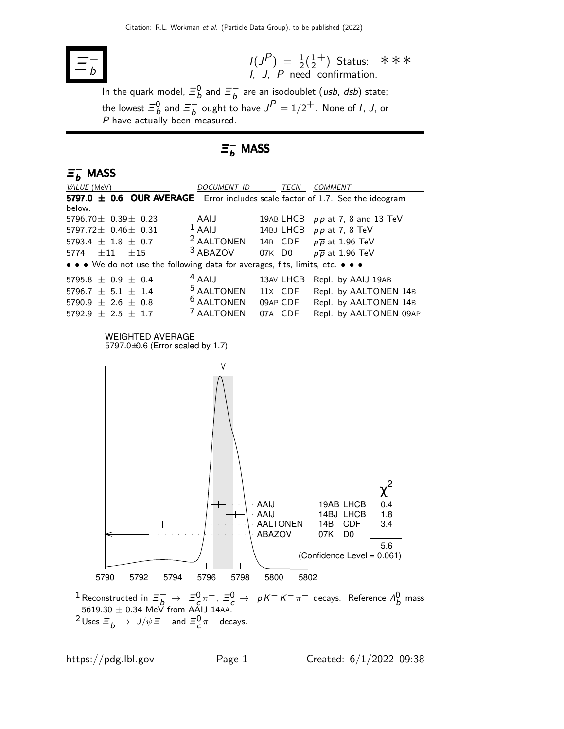

 $I(J^P) = \frac{1}{2}(\frac{1}{2})$  $(\frac{1}{2} + )$ I, J, P need confirmation. Status: ∗∗∗

In the quark model,  $\bar{\Xi}_b^0$  and  $\bar{\Xi}_b^ \overline{b}$  are an isodoublet (*usb*, *dsb*) state; the lowest  $\bar{\Xi}^0_b$  and  $\bar{\Xi}^-_b$  $\int_{b}^{b}$  ought to have  $J^{P} = 1/2^{+}$ . None of *I*, *J*, or P have actually been measured.

# $\bar{z}_b^-$  MASS

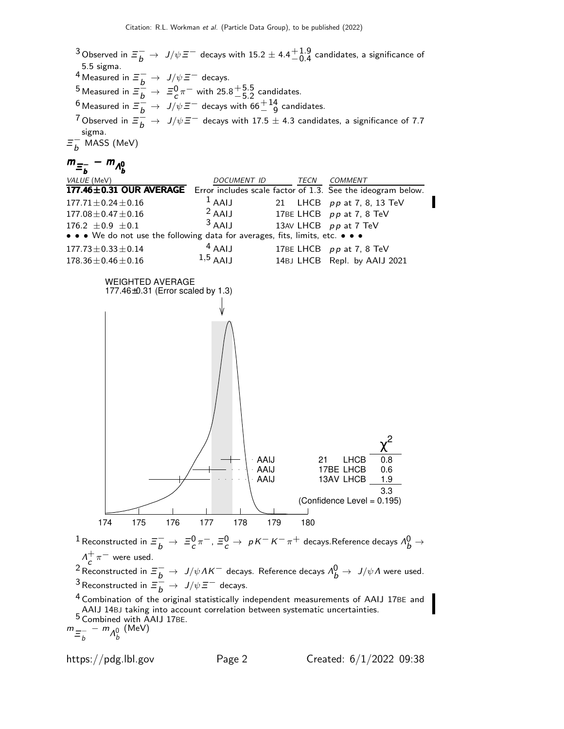$^3$ Observed in  $\varXi_b^-\to\ J/\psi\varXi^-$  decays with 15.2  $\pm$  4.4 $^{\displaystyle +1.9}_{\displaystyle -0.4}$  candidates, a significance of 5.5 sigma. 4 Measured in  $\Xi_b^ \to$   $J/\psi \Xi^-$  decays. 5 Measured in  $\Xi_{\overline{b}}^{\overline{b}} \rightarrow \Xi_{\overline{c}}^0 \pi^-$  with  $25.8^{+5.5}_{-5.2}$  candidates. <sup>6</sup> Measured in  $\equiv \frac{b}{b} \rightarrow J/\psi \equiv$  − decays with 66 $^{+14}_{-9}$  candidates. <sup>7</sup> Observed in  $\Xi_{\overline{b}}^{\overline{\omega}} \to J/\psi \Xi^-$  decays with 17.5  $\pm$  4.3 candidates, a significance of 7.7  $$ sigma.  $\equiv^-_h$  $_b^-$  MASS (MeV)

$$
m_{\Xi_b^-} - m_{A_b^0}
$$

| VALUE (MeV)                                                                         | DOCUMENT ID | TECN | COMMENT                      |
|-------------------------------------------------------------------------------------|-------------|------|------------------------------|
| 177.46±0.31 OUR AVERAGE Error includes scale factor of 1.3. See the ideogram below. |             |      |                              |
| $177.71 \pm 0.24 \pm 0.16$                                                          | $1$ AAIJ    |      | 21 LHCB pp at 7, 8, 13 TeV   |
| $177.08 \pm 0.47 \pm 0.16$                                                          | $2$ AAIJ    |      | 17BE LHCB $pp$ at 7, 8 TeV   |
| 176.2 $\pm 0.9 \pm 0.1$                                                             | $3$ AAIJ    |      | 13AV LHCB pp at 7 TeV        |
| • • • We do not use the following data for averages, fits, limits, etc. • • •       |             |      |                              |
| $177.73 \pm 0.33 \pm 0.14$                                                          | $4$ AAIJ    |      | 17BE LHCB pp at 7, 8 TeV     |
| $178.36 \pm 0.46 \pm 0.16$                                                          | $1,5$ AALL  |      | 14BJ LHCB Repl. by AAIJ 2021 |



 $^1$ Reconstructed in  $\varXi_b^- \to \; \varXi_c^0 \pi^-$ ,  $\varXi_c^0 \to \; \rho K^- K^- \pi^+$  decays.Reference decays  $\Lambda_b^0 \to$  $\Lambda_{\epsilon}^{+} \pi^{-}$  were used.

 $\frac{\partial^2 c}{\partial t^2}$  ™ were used.<br><sup>2</sup> Reconstructed in  $\Xi_b^-$  → J/ψΛK $^-$  decays. Reference decays Λ $^0_b$  → J/ψΛ were used. <sup>3</sup> Reconstructed in  $\equiv \frac{b}{b} \rightarrow J/\psi \equiv^-$  decays.

<sup>4</sup> Combination of the original statistically independent measurements of AAIJ 17BE and AAIJ 14BJ taking into account correlation between systematic uncertainties.  $5 \overline{\text{Combined with AAIJ 17BE}}$ .

 $m_{\overline{z}_{h}^-}$  $\frac{1}{b} - m \frac{1}{b}$ (MeV)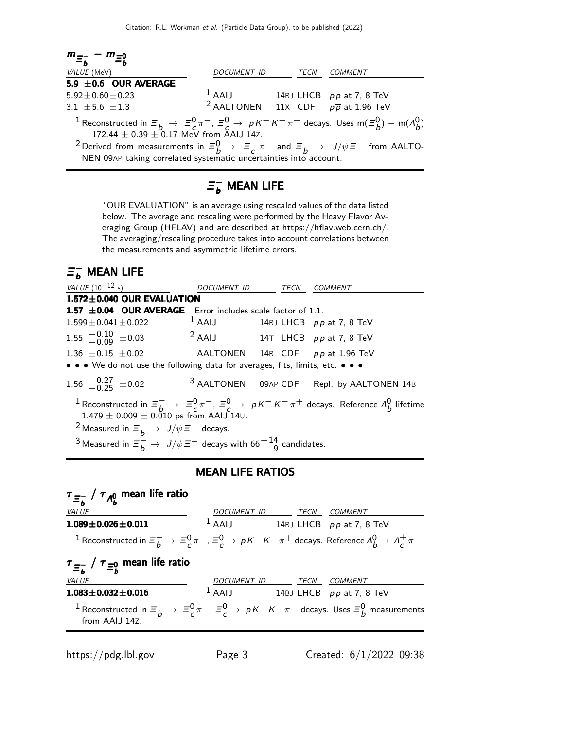

# $\mathsf{\Xi}_b^-$  mean life

"OUR EVALUATION" is an average using rescaled values of the data listed below. The average and rescaling were performed by the Heavy Flavor Averaging Group (HFLAV) and are described at https://hflav.web.cern.ch/. The averaging/rescaling procedure takes into account correlations between the measurements and asymmetric lifetime errors.

# $\mathsf{\Xi}_b^-$  mean life

| <i>VALUE</i> ( $10^{-12}$ s)                                                                                                                                                                                                                                                                                                                   | <i>DOCUMENT ID</i>                  | TECN | <i>COMMENT</i>                              |
|------------------------------------------------------------------------------------------------------------------------------------------------------------------------------------------------------------------------------------------------------------------------------------------------------------------------------------------------|-------------------------------------|------|---------------------------------------------|
| $1.572 \pm 0.040$ OUR EVALUATION                                                                                                                                                                                                                                                                                                               |                                     |      |                                             |
| 1.57 ±0.04 OUR AVERAGE Error includes scale factor of 1.1.                                                                                                                                                                                                                                                                                     |                                     |      |                                             |
| $1.599 \pm 0.041 \pm 0.022$                                                                                                                                                                                                                                                                                                                    | $1$ AAIJ 14BJ LHCB $pp$ at 7, 8 TeV |      |                                             |
| 1.55 $^{+0.10}_{-0.09}$ ±0.03                                                                                                                                                                                                                                                                                                                  | $2$ AAIJ 14T LHCB $pp$ at 7, 8 TeV  |      |                                             |
| 1.36 $\pm$ 0.15 $\pm$ 0.02 AALTONEN 14B CDF $p\overline{p}$ at 1.96 TeV                                                                                                                                                                                                                                                                        |                                     |      |                                             |
| • • • We do not use the following data for averages, fits, limits, etc. • • •                                                                                                                                                                                                                                                                  |                                     |      |                                             |
| 1.56 $^{+0.27}_{-0.25}$ ±0.02                                                                                                                                                                                                                                                                                                                  |                                     |      | $3$ AALTONEN 09AP CDF Repl. by AALTONEN 14B |
| <sup>1</sup> Reconstructed in $\Xi_b^- \to \Xi_c^0 \pi^-$ , $\Xi_c^0 \to pK^-K^-\pi^+$ decays. Reference $\Lambda_b^0$ lifetime<br>$1.479 \pm 0.009 \pm 0.010$ ps from AAIJ 140.<br><sup>2</sup> Measured in $\Xi_h^- \to J/\psi \Xi^-$ decays.<br><sup>3</sup> Measured in $\Xi_h^ \to J/\psi \Xi^-$ decays with 66 $^{+14}_{-9}$ candidates. |                                     |      |                                             |

### MEAN LIFE RATIOS

| $\tau_{\Xi_b^-}$ / $\tau_{\Lambda_b^0}$ mean life ratio                                                                                       |                                     |  |  |
|-----------------------------------------------------------------------------------------------------------------------------------------------|-------------------------------------|--|--|
| <b>VALUE</b>                                                                                                                                  | DOCUMENT ID TECN COMMENT            |  |  |
| $1.089 \pm 0.026 \pm 0.011$                                                                                                                   | $1$ AAIJ 14BJ LHCB pp at 7, 8 TeV   |  |  |
| <sup>1</sup> Reconstructed in $\Xi_h^- \to \Xi_c^0 \pi^-$ , $\Xi_c^0 \to pK^-K^-\pi^+$ decays. Reference $\Lambda_b^0 \to \Lambda_c^+\pi^-$ . |                                     |  |  |
| $\tau_{\Xi_h^-}$ / $\tau_{\Xi_h^0}$ mean life ratio                                                                                           |                                     |  |  |
| <b>VALUE</b>                                                                                                                                  | DOCUMENT ID TECN COMMENT            |  |  |
| $1.083 \pm 0.032 \pm 0.016$                                                                                                                   | $1$ AAIJ 14BJ LHCB $pp$ at 7, 8 TeV |  |  |
| 1 Reconstructed in $\Xi^-_h\to \Xi^0_c\pi^-$ , $\Xi^0_c\to pK^-K^-\pi^+$ decays. Uses $\Xi^0_h$ measurements<br>from AAIJ 14Z.                |                                     |  |  |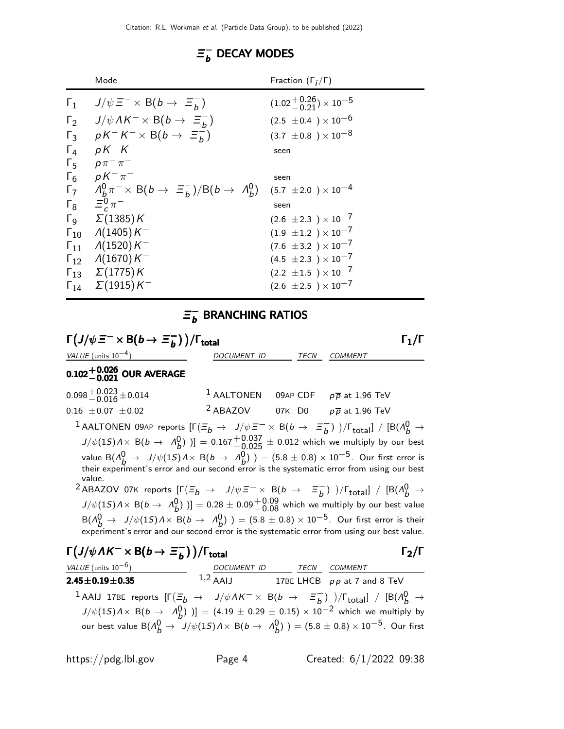#### $\equiv$  $K$  $_b^-$  decay modes

|                       | Mode                                                                          | Fraction $(\Gamma_i/\Gamma)$   |
|-----------------------|-------------------------------------------------------------------------------|--------------------------------|
| $\Gamma_1$            | $J/\psi \equiv^- \times B(b \to \equiv^-_b)$                                  | $(1.02 + 0.26) \times 10^{-5}$ |
| $\Gamma_2$            | $J/\psi \Lambda K^{-} \times B(b \to \Xi_{b}^{-})$                            | $(2.5 \pm 0.4) \times 10^{-6}$ |
| $\Gamma_3$            | $pK^{-}K^{-} \times B(b \rightarrow \Xi_{b}^{-})$                             | $(3.7 \pm 0.8) \times 10^{-8}$ |
| $\Gamma_4$            | $pK-K^-$                                                                      | seen                           |
| $\Gamma_{5}$          | $p\pi^{-}\pi^{-}$                                                             |                                |
| $\Gamma_6$            | $pK^{-}\pi^{-}$                                                               | seen                           |
| $\Gamma_7$            | $A_b^0 \pi^ \times$ B(b $\rightarrow$ $\Xi_b^-$ )/B(b $\rightarrow$ $A_b^0$ ) | $(5.7 \pm 2.0) \times 10^{-4}$ |
| $\Gamma_8$            | $\Xi_c^0 \pi^-$                                                               | seen                           |
| $\Gamma_{\mathsf{Q}}$ | $\Sigma(1385)K^-$                                                             | $(2.6 \pm 2.3) \times 10^{-7}$ |
| $\Gamma_{10}$         | $\Lambda(1405)K^{-}$                                                          | $(1.9 \pm 1.2) \times 10^{-7}$ |
| $\Gamma_{11}$         | $\Lambda(1520)K^-$                                                            | $(7.6 \pm 3.2) \times 10^{-7}$ |
| $\Gamma_{12}$         | $\Lambda(1670)K^-$                                                            | $(4.5 \pm 2.3) \times 10^{-7}$ |
| $\Gamma_{13}$         | $\Sigma(1775)K^-$                                                             | $(2.2 \pm 1.5) \times 10^{-7}$ |
| $\Gamma_{14}$         | $\Sigma(1915)K^-$                                                             | $(2.6 \pm 2.5) \times 10^{-7}$ |

#### $\equiv$ <sub>n</sub>  $_b^-$  branching ratios

$$
\Gamma_1 / \Gamma
$$
\n
$$
\frac{\text{VALUE (units 10}^{-4})}{0.021 \text{ OUR} \text{ AVERAGE}}
$$
\n
$$
0.102 \frac{+0.026}{-0.021} \text{ OUR} \text{ AVERAGE}
$$
\n
$$
0.098 \frac{+0.023}{-0.016} \pm 0.014
$$
\n
$$
1 \text{ AALTONEN } 09AP \text{ CDF } p\overline{p} \text{ at } 1.96 \text{ TeV}
$$
\n
$$
0.16 \pm 0.07 \pm 0.02
$$
\n
$$
2 \text{ ABACOV } 07K \text{ DO } p\overline{p} \text{ at } 1.96 \text{ TeV}
$$
\n
$$
1 \text{ AALTONEN } 09AP \text{ CDF } p\overline{p} \text{ at } 1.96 \text{ TeV}
$$
\n
$$
1 \text{ AALTONEN } 09AP \text{ CDF } p\overline{p} \text{ at } 1.96 \text{ TeV}
$$
\n
$$
1 \text{ AALTONEN } 09AP \text{ CDF } p\overline{p} \text{ at } 1.96 \text{ TeV}
$$
\n
$$
1 \text{ AALTONEN } 09AP \text{ CDF } p\overline{p} \text{ at } 1.96 \text{ TeV}
$$
\n
$$
1 \text{ AALTONEN } 09AP \text{ CDF } p\overline{p} \text{ at } 1.96 \text{ TeV}
$$
\n
$$
1 \text{ AALTONEN } 09AP \text{ CDF } p\overline{p} \text{ at } 1.96 \text{ TeV}
$$
\n
$$
1 \text{ AALTONEN } 09AP \text{ CDF } p\overline{p} \text{ at } 1.96 \text{ TeV}
$$
\n
$$
1 \text{ AALTONEN } 09AP \text{ CDF } p\overline{p} \text{ at } 1.96 \text{ TeV}
$$
\n
$$
1 \text{ AALTONEN } 09AP \text{ CDF } p\overline{p} \text{ at } 1.96 \text{ TeV}
$$
\n
$$
1 \text{ AALTONEN } 09AP \text{ CDF } p\overline{p} \text
$$

**2.45** $\pm$ **0.19** $\pm$ **0.35** 1,2 AAIJ 17BE LHCB pp at 7 and 8 TeV  $^1$ AAIJ 17BE reports  $[\Gamma(\Xi_b \rightarrow J/\psi \Lambda K^- \times B(b \rightarrow \Xi_b^-)]$  $\begin{bmatrix} - \\ b \end{bmatrix}$ )/ $\Gamma_{\text{total}}$ ] / [B( $\Lambda_b^0 \rightarrow$  $J/\psi(15) \lambda \times B(b \to A_b^0)$  )] = (4.19 ± 0.29 ± 0.15) × 10<sup>-2</sup> which we multiply by our best value B $(\Lambda_b^0 \to J/\psi(1S) \Lambda \times$  B $(b \to \Lambda_b^0)$  )  $=(5.8 \pm 0.8) \times 10^{-5}$ . Our first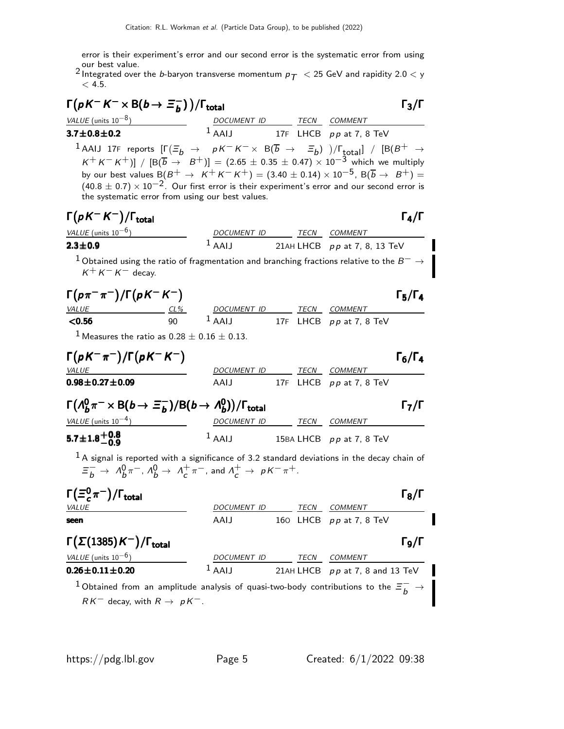error is their experiment's error and our second error is the systematic error from using our best value.

2 Integrated over the *b*-baryon transverse momentum  $p_T < 25$  GeV and rapidity 2.0  $<$  y  $< 4.5.$ 

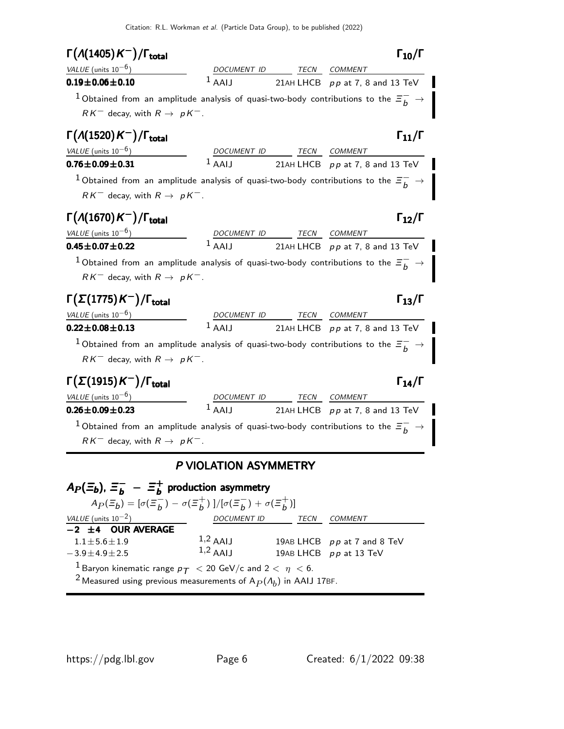| $\Gamma(A(1405)K^-)/\Gamma_{\rm total}$                                                                 |                       |             | $\Gamma_{10}/\Gamma$              |
|---------------------------------------------------------------------------------------------------------|-----------------------|-------------|-----------------------------------|
| VALUE (units $10^{-6}$ )                                                                                | DOCUMENT ID           | TECN        | <b>COMMENT</b>                    |
| $0.19 \pm 0.06 \pm 0.10$                                                                                | $1$ AAIJ              |             | 21AH LHCB $pp$ at 7, 8 and 13 TeV |
| $^1$ Obtained from an amplitude analysis of quasi-two-body contributions to the $\bar{z}_b^-$           |                       |             |                                   |
| $RK^-$ decay, with $R \rightarrow pK^-$ .                                                               |                       |             |                                   |
| $\Gamma(A(1520)K^-)/\Gamma_{\rm total}$                                                                 |                       |             | $\Gamma_{11}/\Gamma$              |
| VALUE (units $10^{-6}$ )                                                                                |                       | TECN        | <b>COMMENT</b>                    |
| $0.76 \pm 0.09 \pm 0.31$                                                                                | $1$ AALI              |             | 21AH LHCB pp at 7, 8 and 13 TeV   |
| $^1$ Obtained from an amplitude analysis of quasi-two-body contributions to the $\Xi_b^-$               |                       |             |                                   |
| $RK^-$ decay, with $R \rightarrow pK^-$ .                                                               |                       |             |                                   |
| $\Gamma(A(1670)K^-)/\Gamma_{\rm total}$                                                                 |                       |             | $\Gamma_{12}/\Gamma$              |
| VALUE (units $10^{-6}$ )                                                                                | DOCUMENT ID           | TECN        | <b>COMMENT</b>                    |
| 0.45 $\pm$ 0.07 $\pm$ 0.22                                                                              | $1$ AAII              |             | 21AH LHCB pp at 7, 8 and 13 TeV   |
| $^1$ Obtained from an amplitude analysis of quasi-two-body contributions to the $\bar{\varXi}_b^-$      |                       |             |                                   |
| $RK^-$ decay, with $R \rightarrow pK^-$ .                                                               |                       |             |                                   |
| $\Gamma(\Sigma(1775)$ $\mathcal{K}^-)/\Gamma_{\rm total}$                                               |                       |             | $\Gamma_{13}/\Gamma$              |
| VALUE (units $10^{-6}$ )                                                                                | DOCUMENT ID           |             | TECN COMMENT                      |
| $0.22 \pm 0.08 \pm 0.13$                                                                                | $1$ AAIJ              |             | 21AH LHCB pp at 7, 8 and 13 TeV   |
| $^1$ Obtained from an amplitude analysis of quasi-two-body contributions to the $\bar{\varepsilon}_b^-$ |                       |             |                                   |
| $RK^-$ decay, with $R \rightarrow pK^-$ .                                                               |                       |             |                                   |
| $\Gamma(\Sigma(1915)K^-)/\Gamma_{\rm total}$                                                            |                       |             | $\Gamma_{14}/\Gamma$              |
|                                                                                                         |                       | <b>TECN</b> | <i>COMMENT</i>                    |
|                                                                                                         |                       |             |                                   |
|                                                                                                         | $1$ AAII              |             | 21AH LHCB $pp$ at 7, 8 and 13 TeV |
| $^{-1}$ Obtained from an amplitude analysis of quasi-two-body contributions to the $\Xi_b^-$            |                       |             |                                   |
| VALUE (units $10^{-6}$ )<br>$0.26 \pm 0.09 \pm 0.23$<br>$RK^-$ decay, with $R \rightarrow pK^-$ .       |                       |             |                                   |
|                                                                                                         |                       |             |                                   |
|                                                                                                         | P VIOLATION ASYMMETRY |             |                                   |
| $A_P(\Xi_b)$ , $\Xi_b^- - \Xi_b^+$ production asymmetry                                                 |                       |             |                                   |
| $A_P(\Xi_b) = [\sigma(\Xi_b^-) - \sigma(\Xi_b^+)]/[\sigma(\Xi_b^-) + \sigma(\Xi_b^+)]$                  |                       |             |                                   |

 $1.1\pm5.6\pm1.9$ 1,2 AAIJ 19AB LHCB  $pp$  at 7 and 8 TeV<br>1,2 AAIJ 19AB LHCB  $pp$  at 13 TeV  $-3.9 \pm 4.9 \pm 2.5$ 19AB LHCB  $pp$  at 13 TeV

 $\frac{1}{2}$ Baryon kinematic range  $p_{\mathcal{T}} < 20$  GeV/c and  $2 < \eta < 6$ .

 $^2$ Measured using previous measurements of  $\mathsf{A}_P(\varLambda_b)$  in <code>AAIJ</code> 17<code>BF.</code>